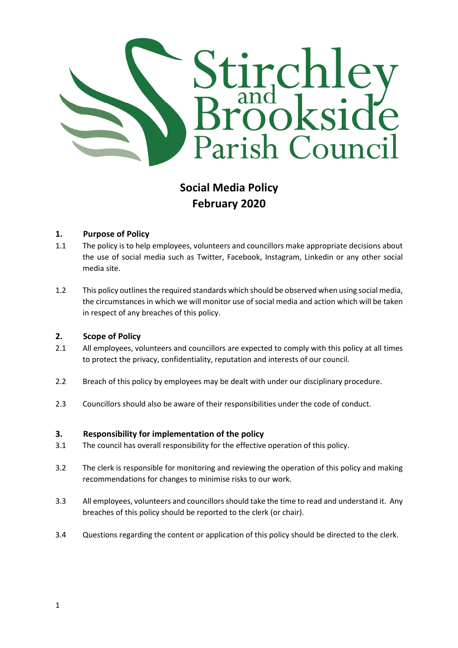

# Social Media Policy February 2020

#### 1. Purpose of Policy

- 1.1 The policy is to help employees, volunteers and councillors make appropriate decisions about the use of social media such as Twitter, Facebook, Instagram, Linkedin or any other social media site.
- 1.2 This policy outlines the required standards which should be observed when using social media, the circumstances in which we will monitor use of social media and action which will be taken in respect of any breaches of this policy.

#### 2. Scope of Policy

- 2.1 All employees, volunteers and councillors are expected to comply with this policy at all times to protect the privacy, confidentiality, reputation and interests of our council.
- 2.2 Breach of this policy by employees may be dealt with under our disciplinary procedure.
- 2.3 Councillors should also be aware of their responsibilities under the code of conduct.

#### 3. Responsibility for implementation of the policy

- 3.1 The council has overall responsibility for the effective operation of this policy.
- 3.2 The clerk is responsible for monitoring and reviewing the operation of this policy and making recommendations for changes to minimise risks to our work.
- 3.3 All employees, volunteers and councillors should take the time to read and understand it. Any breaches of this policy should be reported to the clerk (or chair).
- 3.4 Questions regarding the content or application of this policy should be directed to the clerk.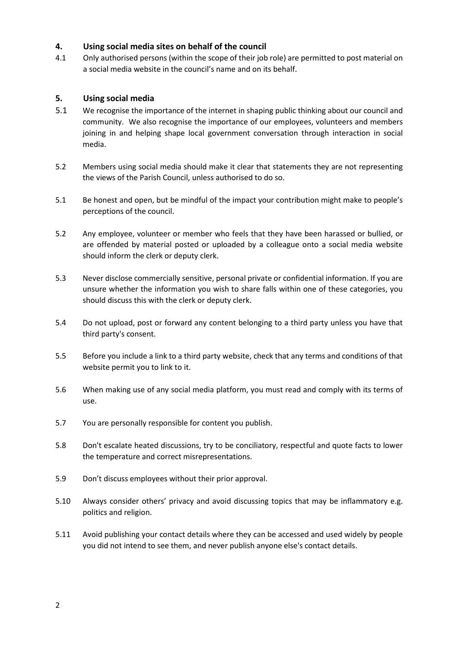## 4. Using social media sites on behalf of the council

4.1 Only authorised persons (within the scope of their job role) are permitted to post material on a social media website in the council's name and on its behalf.

## 5. Using social media

- 5.1 We recognise the importance of the internet in shaping public thinking about our council and community. We also recognise the importance of our employees, volunteers and members joining in and helping shape local government conversation through interaction in social media.
- 5.2 Members using social media should make it clear that statements they are not representing the views of the Parish Council, unless authorised to do so.
- 5.1 Be honest and open, but be mindful of the impact your contribution might make to people's perceptions of the council.
- 5.2 Any employee, volunteer or member who feels that they have been harassed or bullied, or are offended by material posted or uploaded by a colleague onto a social media website should inform the clerk or deputy clerk.
- 5.3 Never disclose commercially sensitive, personal private or confidential information. If you are unsure whether the information you wish to share falls within one of these categories, you should discuss this with the clerk or deputy clerk.
- 5.4 Do not upload, post or forward any content belonging to a third party unless you have that third party's consent.
- 5.5 Before you include a link to a third party website, check that any terms and conditions of that website permit you to link to it.
- 5.6 When making use of any social media platform, you must read and comply with its terms of use.
- 5.7 You are personally responsible for content you publish.
- 5.8 Don't escalate heated discussions, try to be conciliatory, respectful and quote facts to lower the temperature and correct misrepresentations.
- 5.9 Don't discuss employees without their prior approval.
- 5.10 Always consider others' privacy and avoid discussing topics that may be inflammatory e.g. politics and religion.
- 5.11 Avoid publishing your contact details where they can be accessed and used widely by people you did not intend to see them, and never publish anyone else's contact details.